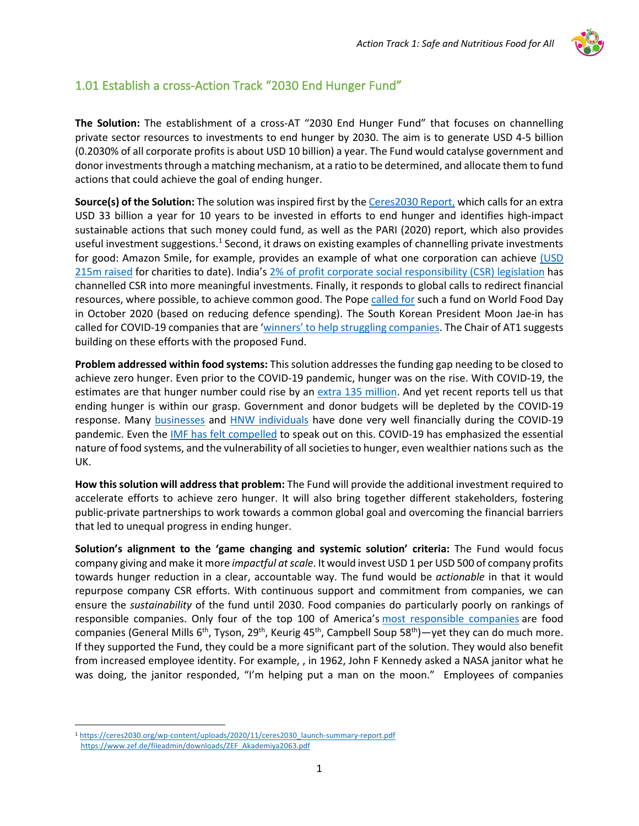

## 1.01 Establish a cross-Action Track "2030 End Hunger Fund"

**The Solution:** The establishment of a cross-AT "2030 End Hunger Fund" that focuses on channelling private sector resources to investments to end hunger by 2030. The aim is to generate USD 4-5 billion (0.2030% of all corporate profits is about USD 10 billion) a year. The Fund would catalyse government and donor investments through a matching mechanism, at a ratio to be determined, and allocate them to fund actions that could achieve the goal of ending hunger.

**Source(s) of the Solution:** The solution was inspired first by the Ceres2030 Report, which calls for an extra USD 33 billion a year for 10 years to be invested in efforts to end hunger and identifies high-impact sustainable actions that such money could fund, as well as the PARI (2020) report, which also provides useful investment suggestions. $1$  Second, it draws on existing examples of channelling private investments for good: Amazon Smile, for example, provides an example of what one corporation can achieve (USD 215m raised for charities to date). India's 2% of profit corporate social responsibility (CSR) legislation has channelled CSR into more meaningful investments. Finally, it responds to global calls to redirect financial resources, where possible, to achieve common good. The Pope called for such a fund on World Food Day in October 2020 (based on reducing defence spending). The South Korean President Moon Jae-in has called for COVID-19 companies that are 'winners' to help struggling companies. The Chair of AT1 suggests building on these efforts with the proposed Fund.

**Problem addressed within food systems:** This solution addresses the funding gap needing to be closed to achieve zero hunger. Even prior to the COVID-19 pandemic, hunger was on the rise. With COVID-19, the estimates are that hunger number could rise by an extra 135 million. And yet recent reports tell us that ending hunger is within our grasp. Government and donor budgets will be depleted by the COVID-19 response. Many businesses and HNW individuals have done very well financially during the COVID-19 pandemic. Even the IMF has felt compelled to speak out on this. COVID-19 has emphasized the essential nature of food systems, and the vulnerability of all societies to hunger, even wealthier nations such as the UK.

**How this solution will address that problem:** The Fund will provide the additional investment required to accelerate efforts to achieve zero hunger. It will also bring together different stakeholders, fostering public-private partnerships to work towards a common global goal and overcoming the financial barriers that led to unequal progress in ending hunger.

**Solution's alignment to the 'game changing and systemic solution' criteria:** The Fund would focus company giving and make it more *impactful at scale*. It would invest USD 1 per USD 500 of company profits towards hunger reduction in a clear, accountable way. The fund would be *actionable* in that it would repurpose company CSR efforts. With continuous support and commitment from companies, we can ensure the *sustainability* of the fund until 2030. Food companies do particularly poorly on rankings of responsible companies. Only four of the top 100 of America's most responsible companies are food companies (General Mills 6<sup>th</sup>, Tyson, 29<sup>th</sup>, Keurig 45<sup>th</sup>, Campbell Soup 58<sup>th</sup>)—yet they can do much more. If they supported the Fund, they could be a more significant part of the solution. They would also benefit from increased employee identity. For example, , in 1962, John F Kennedy asked a NASA janitor what he was doing, the janitor responded, "I'm helping put a man on the moon." Employees of companies

<sup>1</sup> https://ceres2030.org/wp-content/uploads/2020/11/ceres2030\_launch-summary-report.pdf https://www.zef.de/fileadmin/downloads/ZEF\_Akademiya2063.pdf